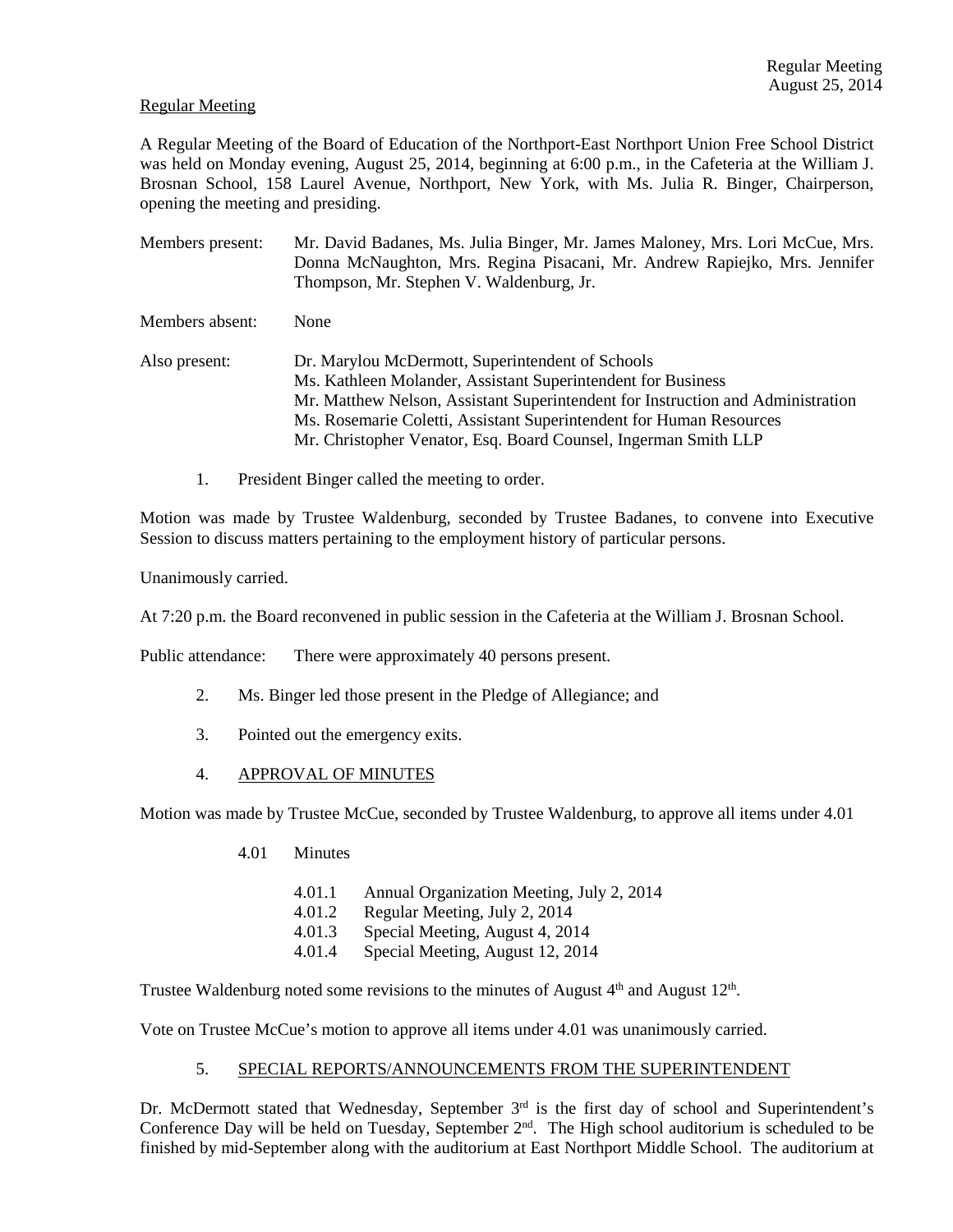## Regular Meeting

A Regular Meeting of the Board of Education of the Northport-East Northport Union Free School District was held on Monday evening, August 25, 2014, beginning at 6:00 p.m., in the Cafeteria at the William J. Brosnan School, 158 Laurel Avenue, Northport, New York, with Ms. Julia R. Binger, Chairperson, opening the meeting and presiding.

- Members present: Mr. David Badanes, Ms. Julia Binger, Mr. James Maloney, Mrs. Lori McCue, Mrs. Donna McNaughton, Mrs. Regina Pisacani, Mr. Andrew Rapiejko, Mrs. Jennifer Thompson, Mr. Stephen V. Waldenburg, Jr. Members absent: None Also present: Dr. Marylou McDermott, Superintendent of Schools Ms. Kathleen Molander, Assistant Superintendent for Business Mr. Matthew Nelson, Assistant Superintendent for Instruction and Administration Ms. Rosemarie Coletti, Assistant Superintendent for Human Resources Mr. Christopher Venator, Esq. Board Counsel, Ingerman Smith LLP
	- 1. President Binger called the meeting to order.

Motion was made by Trustee Waldenburg, seconded by Trustee Badanes, to convene into Executive Session to discuss matters pertaining to the employment history of particular persons.

Unanimously carried.

At 7:20 p.m. the Board reconvened in public session in the Cafeteria at the William J. Brosnan School.

Public attendance: There were approximately 40 persons present.

- 2. Ms. Binger led those present in the Pledge of Allegiance; and
- 3. Pointed out the emergency exits.
- 4. APPROVAL OF MINUTES

Motion was made by Trustee McCue, seconded by Trustee Waldenburg, to approve all items under 4.01

- 4.01 Minutes
	- 4.01.1 Annual Organization Meeting, July 2, 2014
	- 4.01.2 Regular Meeting, July 2, 2014
	- 4.01.3 Special Meeting, August 4, 2014
	- 4.01.4 Special Meeting, August 12, 2014

Trustee Waldenburg noted some revisions to the minutes of August  $4<sup>th</sup>$  and August  $12<sup>th</sup>$ .

Vote on Trustee McCue's motion to approve all items under 4.01 was unanimously carried.

# 5. SPECIAL REPORTS/ANNOUNCEMENTS FROM THE SUPERINTENDENT

Dr. McDermott stated that Wednesday, September 3<sup>rd</sup> is the first day of school and Superintendent's Conference Day will be held on Tuesday, September  $2<sup>nd</sup>$ . The High school auditorium is scheduled to be finished by mid-September along with the auditorium at East Northport Middle School. The auditorium at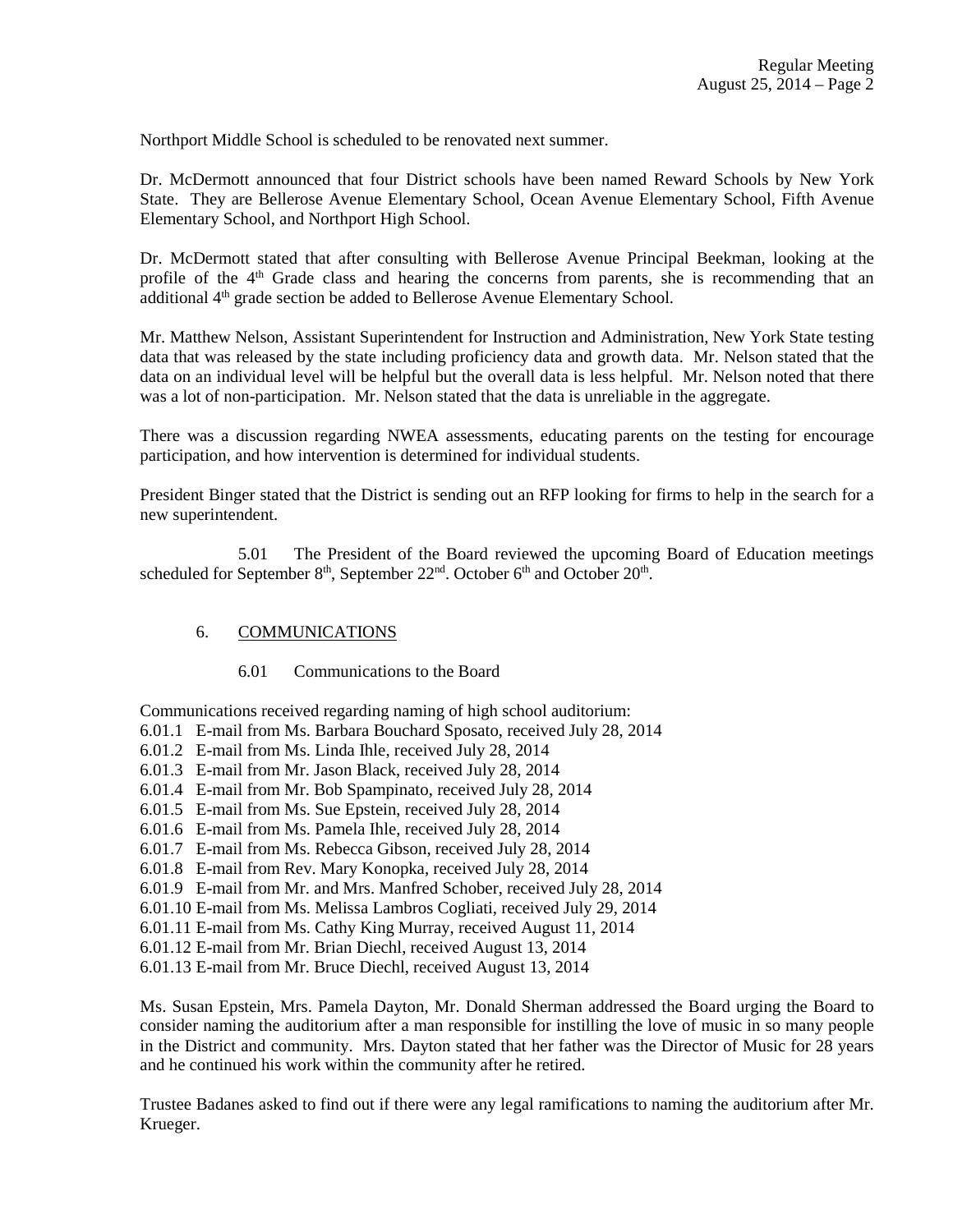Northport Middle School is scheduled to be renovated next summer.

Dr. McDermott announced that four District schools have been named Reward Schools by New York State. They are Bellerose Avenue Elementary School, Ocean Avenue Elementary School, Fifth Avenue Elementary School, and Northport High School.

Dr. McDermott stated that after consulting with Bellerose Avenue Principal Beekman, looking at the profile of the  $4<sup>th</sup>$  Grade class and hearing the concerns from parents, she is recommending that an additional 4<sup>th</sup> grade section be added to Bellerose Avenue Elementary School.

Mr. Matthew Nelson, Assistant Superintendent for Instruction and Administration, New York State testing data that was released by the state including proficiency data and growth data. Mr. Nelson stated that the data on an individual level will be helpful but the overall data is less helpful. Mr. Nelson noted that there was a lot of non-participation. Mr. Nelson stated that the data is unreliable in the aggregate.

There was a discussion regarding NWEA assessments, educating parents on the testing for encourage participation, and how intervention is determined for individual students.

President Binger stated that the District is sending out an RFP looking for firms to help in the search for a new superintendent.

 5.01 The President of the Board reviewed the upcoming Board of Education meetings scheduled for September  $8<sup>th</sup>$ , September  $22<sup>nd</sup>$ . October  $6<sup>th</sup>$  and October  $20<sup>th</sup>$ .

# 6. COMMUNICATIONS

6.01 Communications to the Board

Communications received regarding naming of high school auditorium:

- 6.01.1 E-mail from Ms. Barbara Bouchard Sposato, received July 28, 2014
- 6.01.2 E-mail from Ms. Linda Ihle, received July 28, 2014
- 6.01.3 E-mail from Mr. Jason Black, received July 28, 2014
- 6.01.4 E-mail from Mr. Bob Spampinato, received July 28, 2014
- 6.01.5 E-mail from Ms. Sue Epstein, received July 28, 2014
- 6.01.6 E-mail from Ms. Pamela Ihle, received July 28, 2014
- 6.01.7 E-mail from Ms. Rebecca Gibson, received July 28, 2014
- 6.01.8 E-mail from Rev. Mary Konopka, received July 28, 2014
- 6.01.9 E-mail from Mr. and Mrs. Manfred Schober, received July 28, 2014
- 6.01.10 E-mail from Ms. Melissa Lambros Cogliati, received July 29, 2014
- 6.01.11 E-mail from Ms. Cathy King Murray, received August 11, 2014
- 6.01.12 E-mail from Mr. Brian Diechl, received August 13, 2014
- 6.01.13 E-mail from Mr. Bruce Diechl, received August 13, 2014

Ms. Susan Epstein, Mrs. Pamela Dayton, Mr. Donald Sherman addressed the Board urging the Board to consider naming the auditorium after a man responsible for instilling the love of music in so many people in the District and community. Mrs. Dayton stated that her father was the Director of Music for 28 years and he continued his work within the community after he retired.

Trustee Badanes asked to find out if there were any legal ramifications to naming the auditorium after Mr. Krueger.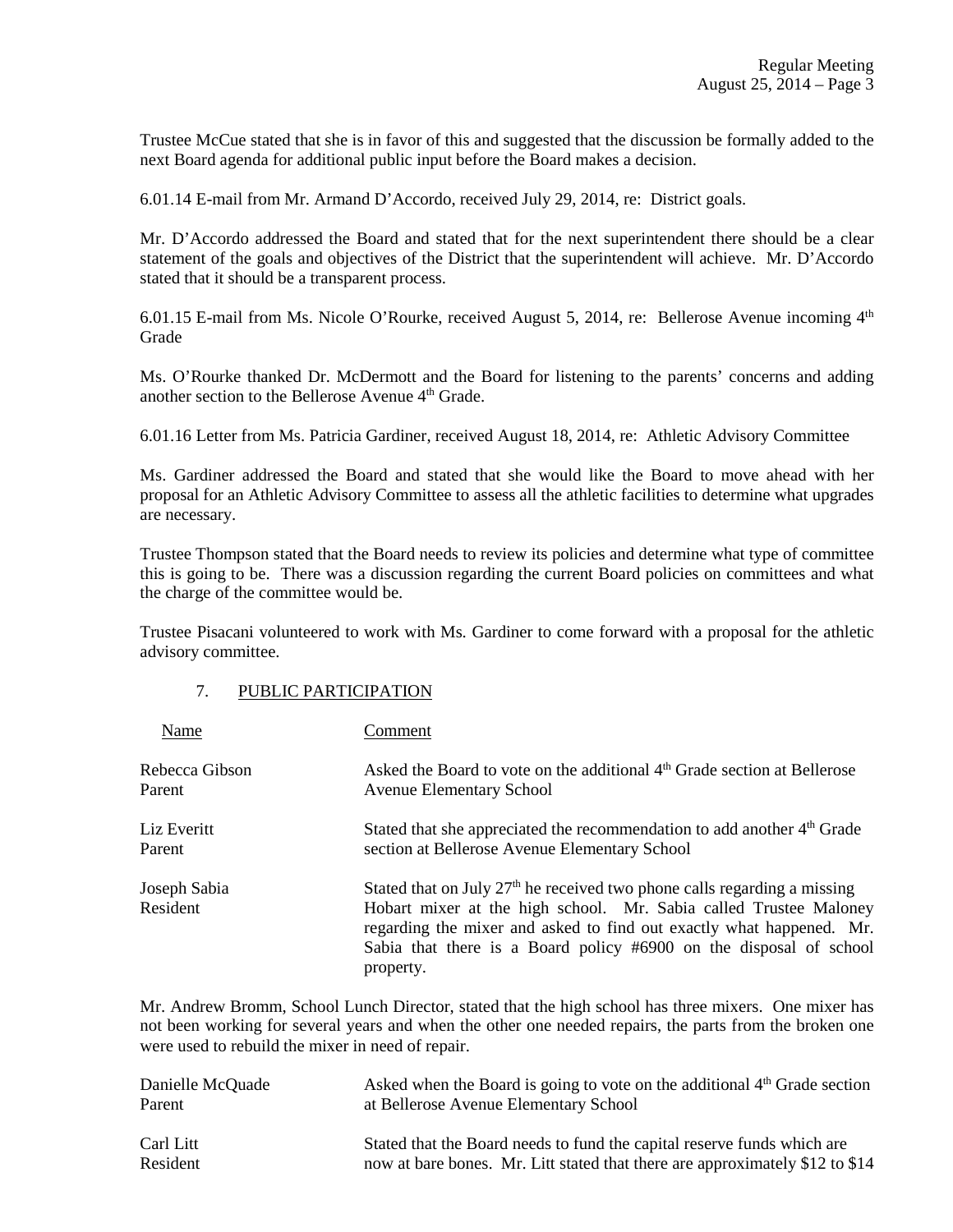Trustee McCue stated that she is in favor of this and suggested that the discussion be formally added to the next Board agenda for additional public input before the Board makes a decision.

6.01.14 E-mail from Mr. Armand D'Accordo, received July 29, 2014, re: District goals.

Mr. D'Accordo addressed the Board and stated that for the next superintendent there should be a clear statement of the goals and objectives of the District that the superintendent will achieve. Mr. D'Accordo stated that it should be a transparent process.

6.01.15 E-mail from Ms. Nicole O'Rourke, received August 5, 2014, re: Bellerose Avenue incoming  $4<sup>th</sup>$ Grade

Ms. O'Rourke thanked Dr. McDermott and the Board for listening to the parents' concerns and adding another section to the Bellerose Avenue 4<sup>th</sup> Grade.

6.01.16 Letter from Ms. Patricia Gardiner, received August 18, 2014, re: Athletic Advisory Committee

Ms. Gardiner addressed the Board and stated that she would like the Board to move ahead with her proposal for an Athletic Advisory Committee to assess all the athletic facilities to determine what upgrades are necessary.

Trustee Thompson stated that the Board needs to review its policies and determine what type of committee this is going to be. There was a discussion regarding the current Board policies on committees and what the charge of the committee would be.

Trustee Pisacani volunteered to work with Ms. Gardiner to come forward with a proposal for the athletic advisory committee.

### 7. PUBLIC PARTICIPATION

| Name                     | Comment                                                                                                                                                                                                                                                                                                    |
|--------------------------|------------------------------------------------------------------------------------------------------------------------------------------------------------------------------------------------------------------------------------------------------------------------------------------------------------|
| Rebecca Gibson           | Asked the Board to vote on the additional 4 <sup>th</sup> Grade section at Bellerose                                                                                                                                                                                                                       |
| Parent                   | <b>Avenue Elementary School</b>                                                                                                                                                                                                                                                                            |
| Liz Everitt              | Stated that she appreciated the recommendation to add another 4 <sup>th</sup> Grade                                                                                                                                                                                                                        |
| Parent                   | section at Bellerose Avenue Elementary School                                                                                                                                                                                                                                                              |
| Joseph Sabia<br>Resident | Stated that on July $27th$ he received two phone calls regarding a missing<br>Hobart mixer at the high school. Mr. Sabia called Trustee Maloney<br>regarding the mixer and asked to find out exactly what happened. Mr.<br>Sabia that there is a Board policy #6900 on the disposal of school<br>property. |

Mr. Andrew Bromm, School Lunch Director, stated that the high school has three mixers. One mixer has not been working for several years and when the other one needed repairs, the parts from the broken one were used to rebuild the mixer in need of repair.

| Danielle McQuade | Asked when the Board is going to vote on the additional $4th$ Grade section  |
|------------------|------------------------------------------------------------------------------|
| Parent           | at Bellerose Avenue Elementary School                                        |
| Carl Litt        | Stated that the Board needs to fund the capital reserve funds which are      |
| Resident         | now at bare bones. Mr. Litt stated that there are approximately \$12 to \$14 |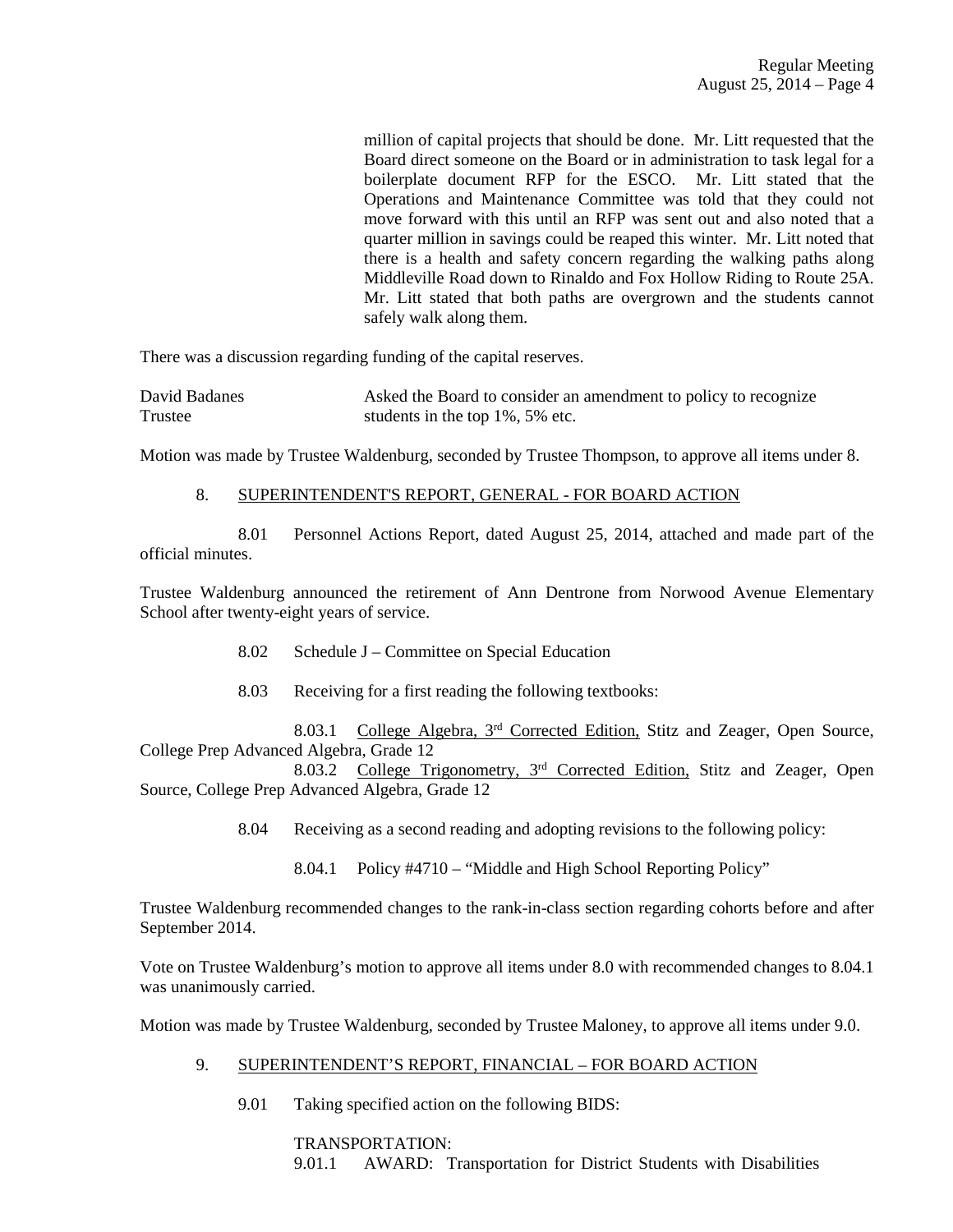million of capital projects that should be done. Mr. Litt requested that the Board direct someone on the Board or in administration to task legal for a boilerplate document RFP for the ESCO. Mr. Litt stated that the Operations and Maintenance Committee was told that they could not move forward with this until an RFP was sent out and also noted that a quarter million in savings could be reaped this winter. Mr. Litt noted that there is a health and safety concern regarding the walking paths along Middleville Road down to Rinaldo and Fox Hollow Riding to Route 25A. Mr. Litt stated that both paths are overgrown and the students cannot safely walk along them.

There was a discussion regarding funding of the capital reserves.

| David Badanes | Asked the Board to consider an amendment to policy to recognize |
|---------------|-----------------------------------------------------------------|
| Trustee       | students in the top $1\%$ , 5% etc.                             |

Motion was made by Trustee Waldenburg, seconded by Trustee Thompson, to approve all items under 8.

### 8. SUPERINTENDENT'S REPORT, GENERAL - FOR BOARD ACTION

 8.01 Personnel Actions Report, dated August 25, 2014, attached and made part of the official minutes.

Trustee Waldenburg announced the retirement of Ann Dentrone from Norwood Avenue Elementary School after twenty-eight years of service.

- 8.02 Schedule J Committee on Special Education
- 8.03 Receiving for a first reading the following textbooks:

 8.03.1 College Algebra, 3rd Corrected Edition, Stitz and Zeager, Open Source, College Prep Advanced Algebra, Grade 12

 8.03.2 College Trigonometry, 3rd Corrected Edition, Stitz and Zeager, Open Source, College Prep Advanced Algebra, Grade 12

- 8.04 Receiving as a second reading and adopting revisions to the following policy:
	- 8.04.1 Policy #4710 "Middle and High School Reporting Policy"

Trustee Waldenburg recommended changes to the rank-in-class section regarding cohorts before and after September 2014.

Vote on Trustee Waldenburg's motion to approve all items under 8.0 with recommended changes to 8.04.1 was unanimously carried.

Motion was made by Trustee Waldenburg, seconded by Trustee Maloney, to approve all items under 9.0.

- 9. SUPERINTENDENT'S REPORT, FINANCIAL FOR BOARD ACTION
	- 9.01 Taking specified action on the following BIDS:

 TRANSPORTATION: 9.01.1 AWARD: Transportation for District Students with Disabilities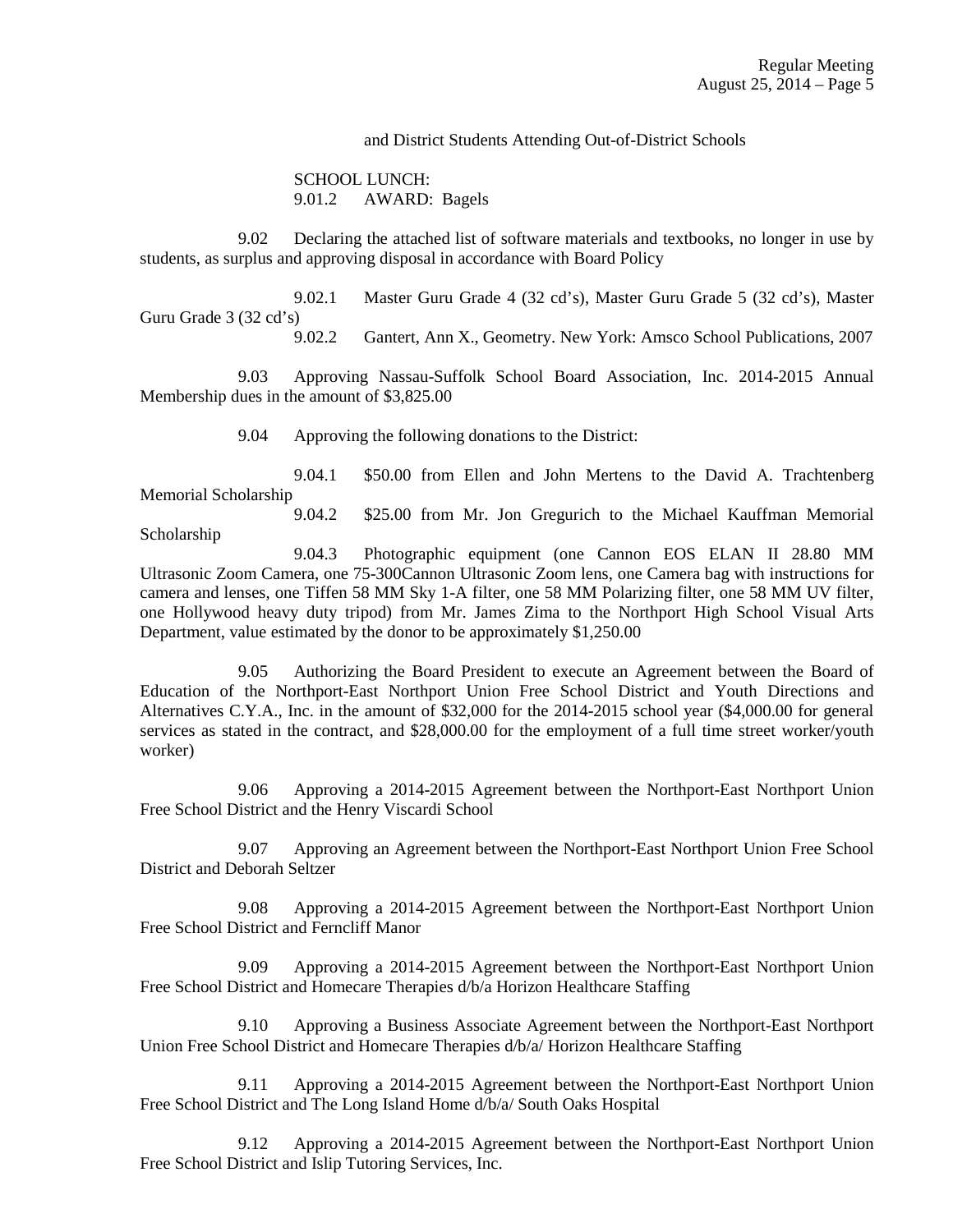and District Students Attending Out-of-District Schools

 SCHOOL LUNCH: 9.01.2 AWARD: Bagels

 9.02 Declaring the attached list of software materials and textbooks, no longer in use by students, as surplus and approving disposal in accordance with Board Policy

 9.02.1 Master Guru Grade 4 (32 cd's), Master Guru Grade 5 (32 cd's), Master Guru Grade 3 (32 cd's)<br>9.02.2

Gantert, Ann X., Geometry. New York: Amsco School Publications, 2007

 9.03 Approving Nassau-Suffolk School Board Association, Inc. 2014-2015 Annual Membership dues in the amount of \$3,825.00

9.04 Approving the following donations to the District:

 9.04.1 \$50.00 from Ellen and John Mertens to the David A. Trachtenberg Memorial Scholarship

 9.04.2 \$25.00 from Mr. Jon Gregurich to the Michael Kauffman Memorial Scholarship

 9.04.3 Photographic equipment (one Cannon EOS ELAN II 28.80 MM Ultrasonic Zoom Camera, one 75-300Cannon Ultrasonic Zoom lens, one Camera bag with instructions for camera and lenses, one Tiffen 58 MM Sky 1-A filter, one 58 MM Polarizing filter, one 58 MM UV filter, one Hollywood heavy duty tripod) from Mr. James Zima to the Northport High School Visual Arts Department, value estimated by the donor to be approximately \$1,250.00

 9.05 Authorizing the Board President to execute an Agreement between the Board of Education of the Northport-East Northport Union Free School District and Youth Directions and Alternatives C.Y.A., Inc. in the amount of \$32,000 for the 2014-2015 school year (\$4,000.00 for general services as stated in the contract, and \$28,000.00 for the employment of a full time street worker/youth worker)

 9.06 Approving a 2014-2015 Agreement between the Northport-East Northport Union Free School District and the Henry Viscardi School

 9.07 Approving an Agreement between the Northport-East Northport Union Free School District and Deborah Seltzer

 9.08 Approving a 2014-2015 Agreement between the Northport-East Northport Union Free School District and Ferncliff Manor

 9.09 Approving a 2014-2015 Agreement between the Northport-East Northport Union Free School District and Homecare Therapies d/b/a Horizon Healthcare Staffing

 9.10 Approving a Business Associate Agreement between the Northport-East Northport Union Free School District and Homecare Therapies d/b/a/ Horizon Healthcare Staffing

 9.11 Approving a 2014-2015 Agreement between the Northport-East Northport Union Free School District and The Long Island Home d/b/a/ South Oaks Hospital

 9.12 Approving a 2014-2015 Agreement between the Northport-East Northport Union Free School District and Islip Tutoring Services, Inc.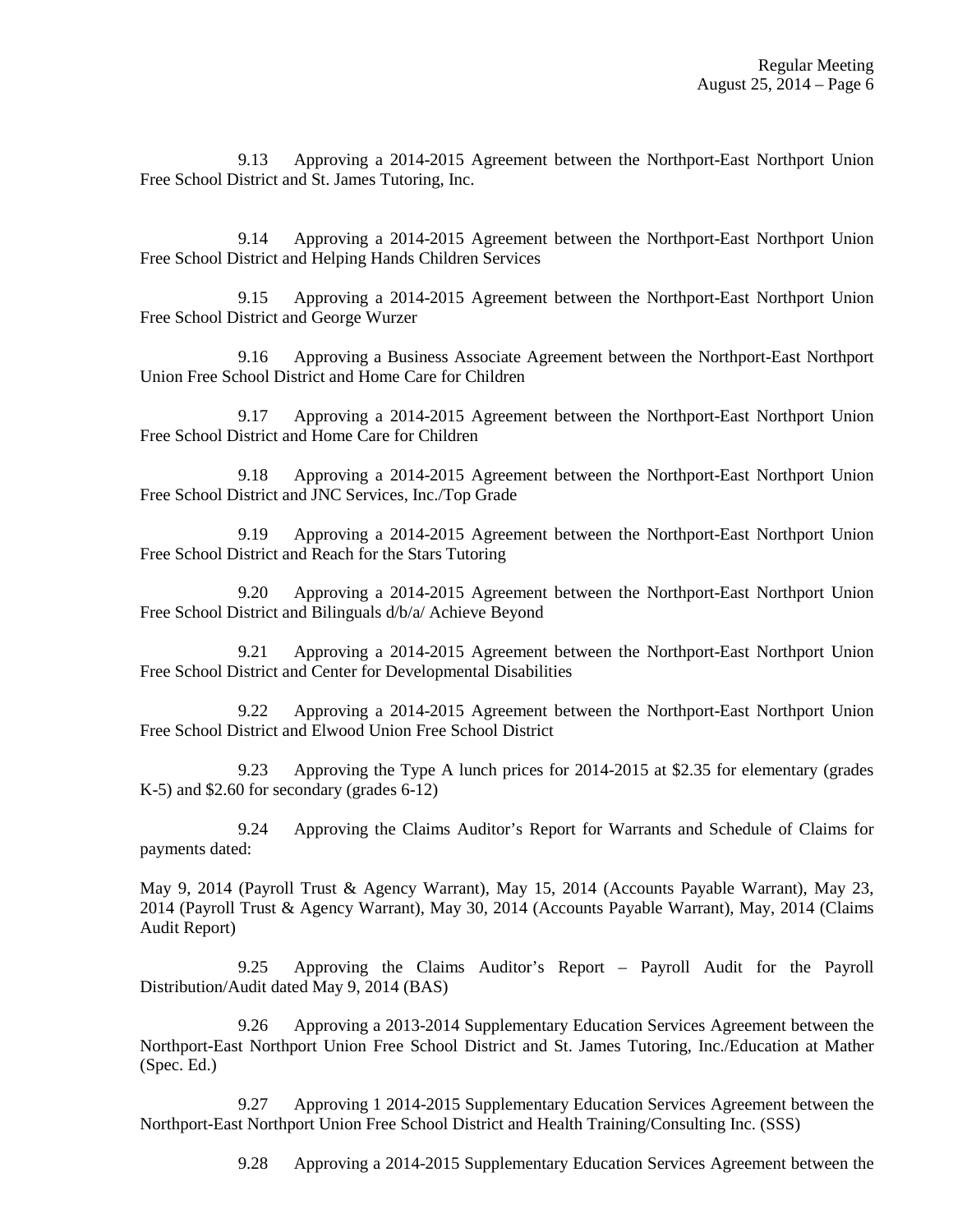9.13 Approving a 2014-2015 Agreement between the Northport-East Northport Union Free School District and St. James Tutoring, Inc.

 9.14 Approving a 2014-2015 Agreement between the Northport-East Northport Union Free School District and Helping Hands Children Services

 9.15 Approving a 2014-2015 Agreement between the Northport-East Northport Union Free School District and George Wurzer

 9.16 Approving a Business Associate Agreement between the Northport-East Northport Union Free School District and Home Care for Children

 9.17 Approving a 2014-2015 Agreement between the Northport-East Northport Union Free School District and Home Care for Children

 9.18 Approving a 2014-2015 Agreement between the Northport-East Northport Union Free School District and JNC Services, Inc./Top Grade

 9.19 Approving a 2014-2015 Agreement between the Northport-East Northport Union Free School District and Reach for the Stars Tutoring

 9.20 Approving a 2014-2015 Agreement between the Northport-East Northport Union Free School District and Bilinguals d/b/a/ Achieve Beyond

 9.21 Approving a 2014-2015 Agreement between the Northport-East Northport Union Free School District and Center for Developmental Disabilities

 9.22 Approving a 2014-2015 Agreement between the Northport-East Northport Union Free School District and Elwood Union Free School District

 9.23 Approving the Type A lunch prices for 2014-2015 at \$2.35 for elementary (grades K-5) and \$2.60 for secondary (grades 6-12)

 9.24 Approving the Claims Auditor's Report for Warrants and Schedule of Claims for payments dated:

May 9, 2014 (Payroll Trust & Agency Warrant), May 15, 2014 (Accounts Payable Warrant), May 23, 2014 (Payroll Trust & Agency Warrant), May 30, 2014 (Accounts Payable Warrant), May, 2014 (Claims Audit Report)

 9.25 Approving the Claims Auditor's Report – Payroll Audit for the Payroll Distribution/Audit dated May 9, 2014 (BAS)

 9.26 Approving a 2013-2014 Supplementary Education Services Agreement between the Northport-East Northport Union Free School District and St. James Tutoring, Inc./Education at Mather (Spec. Ed.)

 9.27 Approving 1 2014-2015 Supplementary Education Services Agreement between the Northport-East Northport Union Free School District and Health Training/Consulting Inc. (SSS)

9.28 Approving a 2014-2015 Supplementary Education Services Agreement between the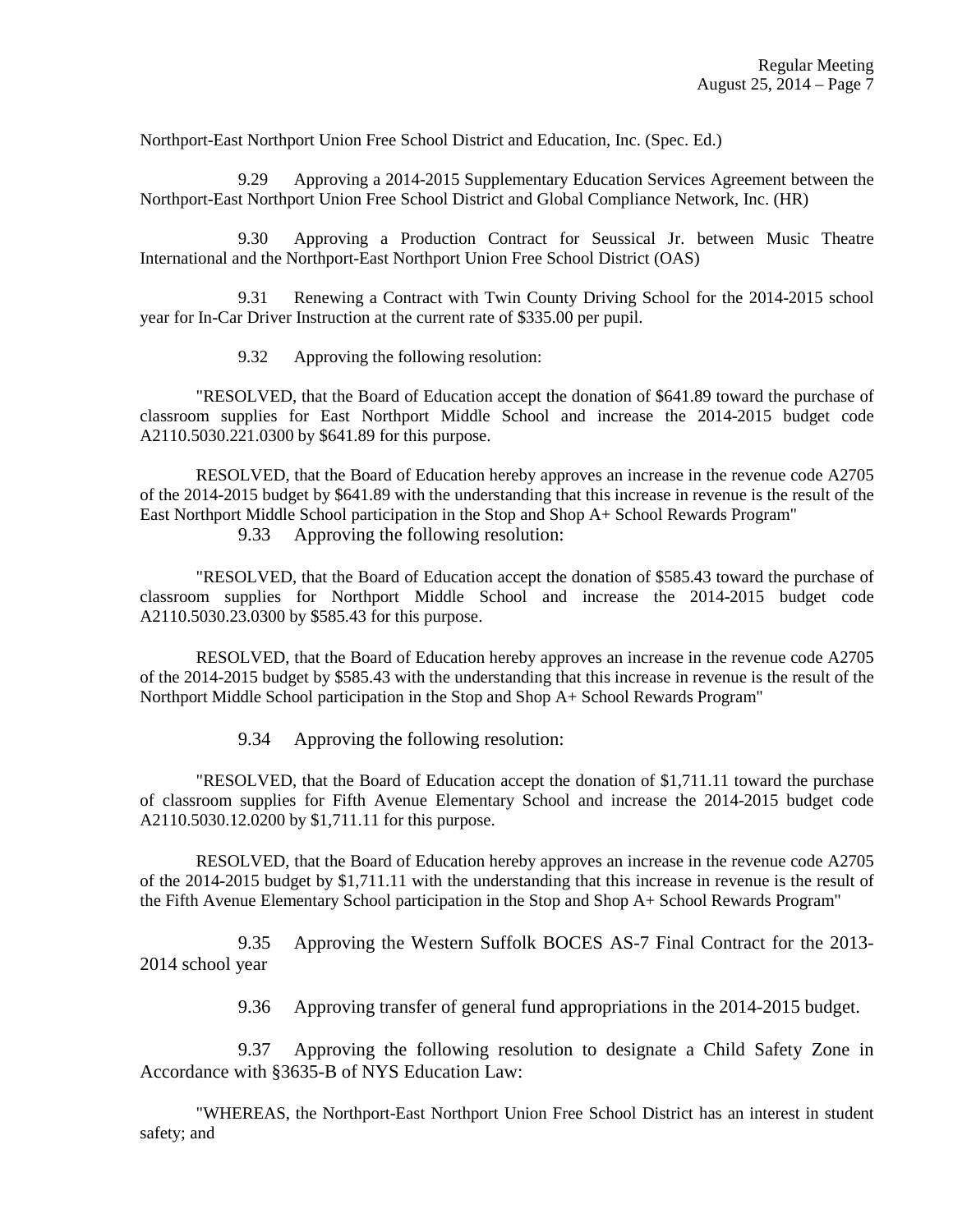Northport-East Northport Union Free School District and Education, Inc. (Spec. Ed.)

 9.29 Approving a 2014-2015 Supplementary Education Services Agreement between the Northport-East Northport Union Free School District and Global Compliance Network, Inc. (HR)

 9.30 Approving a Production Contract for Seussical Jr. between Music Theatre International and the Northport-East Northport Union Free School District (OAS)

 9.31 Renewing a Contract with Twin County Driving School for the 2014-2015 school year for In-Car Driver Instruction at the current rate of \$335.00 per pupil.

9.32 Approving the following resolution:

 "RESOLVED, that the Board of Education accept the donation of \$641.89 toward the purchase of classroom supplies for East Northport Middle School and increase the 2014-2015 budget code A2110.5030.221.0300 by \$641.89 for this purpose.

 RESOLVED, that the Board of Education hereby approves an increase in the revenue code A2705 of the 2014-2015 budget by \$641.89 with the understanding that this increase in revenue is the result of the East Northport Middle School participation in the Stop and Shop A+ School Rewards Program"

9.33 Approving the following resolution:

"RESOLVED, that the Board of Education accept the donation of \$585.43 toward the purchase of classroom supplies for Northport Middle School and increase the 2014-2015 budget code A2110.5030.23.0300 by \$585.43 for this purpose.

RESOLVED, that the Board of Education hereby approves an increase in the revenue code A2705 of the 2014-2015 budget by \$585.43 with the understanding that this increase in revenue is the result of the Northport Middle School participation in the Stop and Shop A+ School Rewards Program"

9.34 Approving the following resolution:

"RESOLVED, that the Board of Education accept the donation of \$1,711.11 toward the purchase of classroom supplies for Fifth Avenue Elementary School and increase the 2014-2015 budget code A2110.5030.12.0200 by \$1,711.11 for this purpose.

RESOLVED, that the Board of Education hereby approves an increase in the revenue code A2705 of the 2014-2015 budget by \$1,711.11 with the understanding that this increase in revenue is the result of the Fifth Avenue Elementary School participation in the Stop and Shop A+ School Rewards Program"

 9.35 Approving the Western Suffolk BOCES AS-7 Final Contract for the 2013- 2014 school year

9.36 Approving transfer of general fund appropriations in the 2014-2015 budget.

 9.37 Approving the following resolution to designate a Child Safety Zone in Accordance with §3635-B of NYS Education Law:

"WHEREAS, the Northport-East Northport Union Free School District has an interest in student safety; and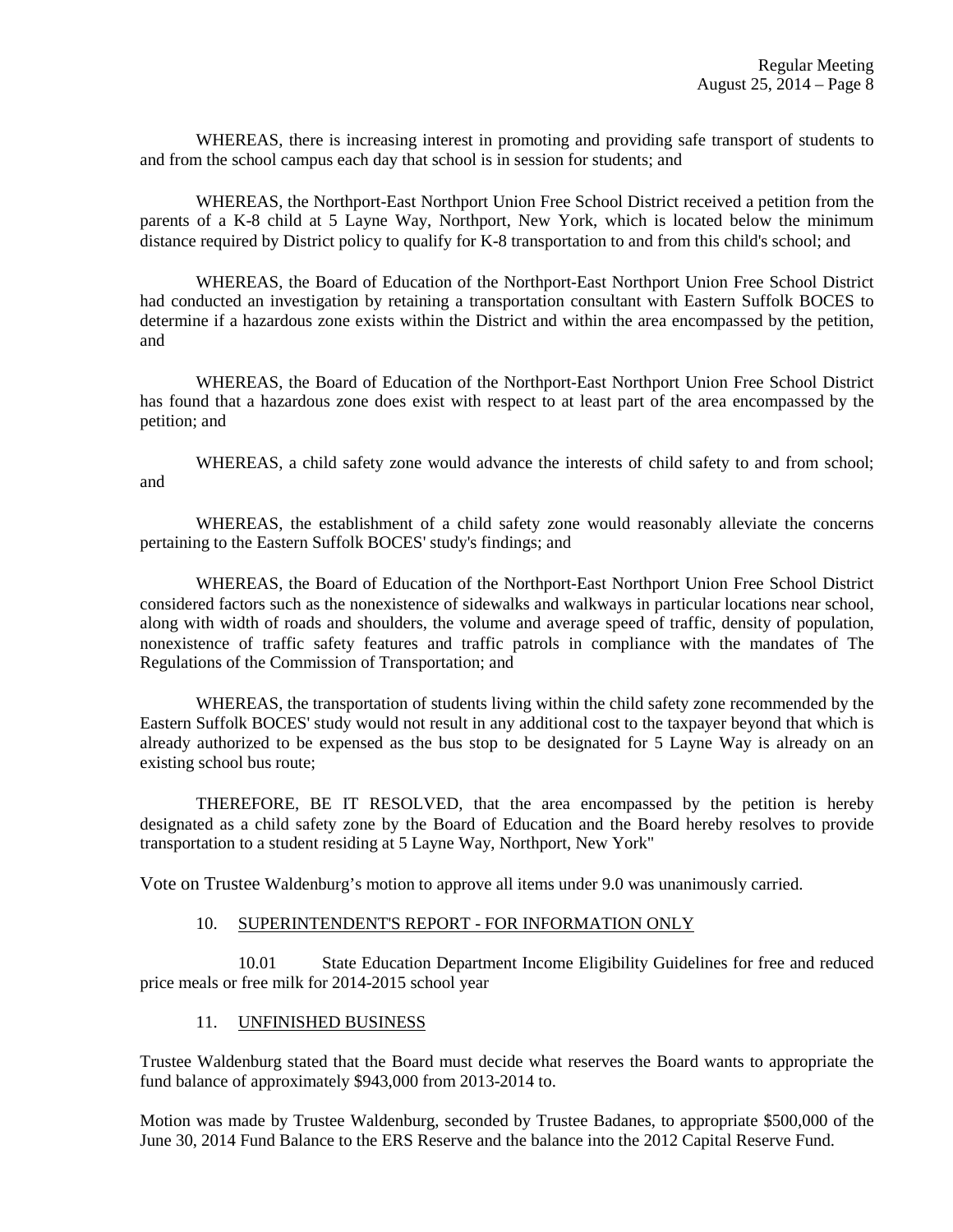WHEREAS, there is increasing interest in promoting and providing safe transport of students to and from the school campus each day that school is in session for students; and

WHEREAS, the Northport-East Northport Union Free School District received a petition from the parents of a K-8 child at 5 Layne Way, Northport, New York, which is located below the minimum distance required by District policy to qualify for K-8 transportation to and from this child's school; and

WHEREAS, the Board of Education of the Northport-East Northport Union Free School District had conducted an investigation by retaining a transportation consultant with Eastern Suffolk BOCES to determine if a hazardous zone exists within the District and within the area encompassed by the petition, and

WHEREAS, the Board of Education of the Northport-East Northport Union Free School District has found that a hazardous zone does exist with respect to at least part of the area encompassed by the petition; and

WHEREAS, a child safety zone would advance the interests of child safety to and from school; and

WHEREAS, the establishment of a child safety zone would reasonably alleviate the concerns pertaining to the Eastern Suffolk BOCES' study's findings; and

WHEREAS, the Board of Education of the Northport-East Northport Union Free School District considered factors such as the nonexistence of sidewalks and walkways in particular locations near school, along with width of roads and shoulders, the volume and average speed of traffic, density of population, nonexistence of traffic safety features and traffic patrols in compliance with the mandates of The Regulations of the Commission of Transportation; and

WHEREAS, the transportation of students living within the child safety zone recommended by the Eastern Suffolk BOCES' study would not result in any additional cost to the taxpayer beyond that which is already authorized to be expensed as the bus stop to be designated for 5 Layne Way is already on an existing school bus route;

THEREFORE, BE IT RESOLVED, that the area encompassed by the petition is hereby designated as a child safety zone by the Board of Education and the Board hereby resolves to provide transportation to a student residing at 5 Layne Way, Northport, New York"

Vote on Trustee Waldenburg's motion to approve all items under 9.0 was unanimously carried.

### 10. SUPERINTENDENT'S REPORT - FOR INFORMATION ONLY

10.01 State Education Department Income Eligibility Guidelines for free and reduced price meals or free milk for 2014-2015 school year

### 11. UNFINISHED BUSINESS

Trustee Waldenburg stated that the Board must decide what reserves the Board wants to appropriate the fund balance of approximately \$943,000 from 2013-2014 to.

Motion was made by Trustee Waldenburg, seconded by Trustee Badanes, to appropriate \$500,000 of the June 30, 2014 Fund Balance to the ERS Reserve and the balance into the 2012 Capital Reserve Fund.